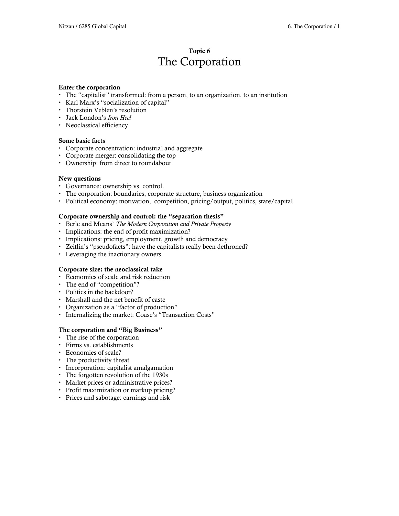## Topic 6 The Corporation

#### Enter the corporation

- The "capitalist" transformed: from a person, to an organization, to an institution
- Karl Marx's "socialization of capital"
- Thorstein Veblen's resolution
- Jack London's Iron Heel
- Neoclassical efficiency

#### Some basic facts

- Corporate concentration: industrial and aggregate
- Corporate merger: consolidating the top
- Ownership: from direct to roundabout

#### New questions

- Governance: ownership vs. control.
- The corporation: boundaries, corporate structure, business organization
- Political economy: motivation, competition, pricing/output, politics, state/capital

#### Corporate ownership and control: the "separation thesis"

- Berle and Means' The Modern Corporation and Private Property
- Implications: the end of profit maximization?
- Implications: pricing, employment, growth and democracy
- Zeitlin's "pseudofacts": have the capitalists really been dethroned?
- Leveraging the inactionary owners

#### Corporate size: the neoclassical take

- Economies of scale and risk reduction
- The end of "competition"?
- Politics in the backdoor?
- Marshall and the net benefit of caste
- Organization as a "factor of production"
- Internalizing the market: Coase's "Transaction Costs"

#### The corporation and "Big Business"

- The rise of the corporation
- Firms vs. establishments
- Economies of scale?
- The productivity threat
- Incorporation: capitalist amalgamation
- The forgotten revolution of the 1930s
- Market prices or administrative prices?
- Profit maximization or markup pricing?
- Prices and sabotage: earnings and risk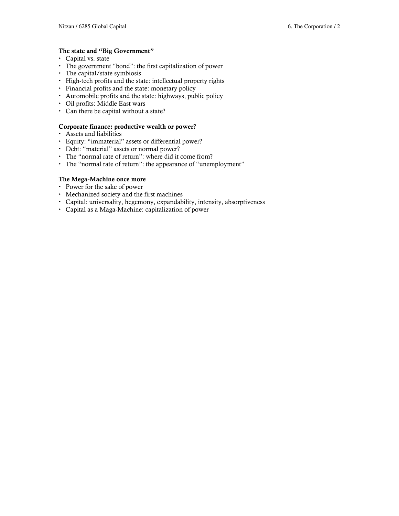#### The state and "Big Government"

- Capital vs. state
- The government "bond": the first capitalization of power
- The capital/state symbiosis
- High-tech profits and the state: intellectual property rights
- Financial profits and the state: monetary policy
- Automobile profits and the state: highways, public policy
- Oil profits: Middle East wars
- Can there be capital without a state?

#### Corporate finance: productive wealth or power?

- Assets and liabilities
- Equity: "immaterial" assets or differential power?
- Debt: "material" assets or normal power?
- The "normal rate of return": where did it come from?
- The "normal rate of return": the appearance of "unemployment"

#### The Mega-Machine once more

- Power for the sake of power
- Mechanized society and the first machines
- Capital: universality, hegemony, expandability, intensity, absorptiveness
- Capital as a Maga-Machine: capitalization of power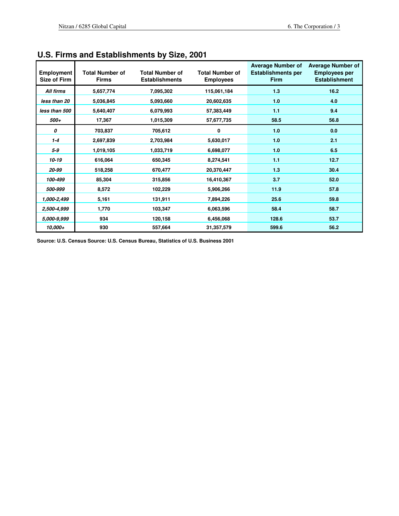| <b>Employment</b><br><b>Size of Firm</b> | <b>Total Number of</b><br><b>Firms</b> | <b>Total Number of</b><br><b>Establishments</b> | <b>Total Number of</b><br><b>Employees</b> | <b>Average Number of</b><br><b>Establishments per</b><br><b>Firm</b> | <b>Average Number of</b><br><b>Employees per</b><br><b>Establishment</b> |
|------------------------------------------|----------------------------------------|-------------------------------------------------|--------------------------------------------|----------------------------------------------------------------------|--------------------------------------------------------------------------|
| All firms                                | 5,657,774                              | 7,095,302                                       | 115,061,184                                | 1.3                                                                  | 16.2                                                                     |
| less than 20                             | 5,036,845                              | 5,093,660                                       | 20,602,635                                 | 1.0                                                                  | 4.0                                                                      |
| less than 500                            | 5,640,407                              | 6,079,993                                       | 57,383,449                                 | 1.1                                                                  | 9.4                                                                      |
| 500+                                     | 17,367                                 | 1,015,309                                       | 57,677,735                                 | 58.5                                                                 | 56.8                                                                     |
| 0                                        | 703,837                                | 705,612                                         | 0                                          | 1.0                                                                  | 0.0                                                                      |
| $1 - 4$                                  | 2,697,839                              | 2,703,984                                       | 5,630,017                                  | 1.0                                                                  | 2.1                                                                      |
| $5-9$                                    | 1,019,105                              | 1,033,719                                       | 6,698,077                                  | 1.0                                                                  | 6.5                                                                      |
| $10 - 19$                                | 616,064                                | 650,345                                         | 8,274,541                                  | 1.1                                                                  | 12.7                                                                     |
| 20-99                                    | 518,258                                | 670,477                                         | 20,370,447                                 | 1.3                                                                  | 30.4                                                                     |
| 100-499                                  | 85,304                                 | 315,856                                         | 16,410,367                                 | 3.7                                                                  | 52.0                                                                     |
| 500-999                                  | 8,572                                  | 102,229                                         | 5,906,266                                  | 11.9                                                                 | 57.8                                                                     |
| 1,000-2,499                              | 5,161                                  | 131,911                                         | 7,894,226                                  | 25.6                                                                 | 59.8                                                                     |
| 2,500-4,999                              | 1,770                                  | 103,347                                         | 6,063,596                                  | 58.4                                                                 | 58.7                                                                     |
| 5,000-9,999                              | 934                                    | 120,158                                         | 6,456,068                                  | 128.6                                                                | 53.7                                                                     |
| 10,000+                                  | 930                                    | 557,664                                         | 31,357,579                                 | 599.6                                                                | 56.2                                                                     |

# **U.S. Firms and Establishments by Size, 2001**

**Source: U.S. Census Source: U.S. Census Bureau, Statistics of U.S. Business 2001**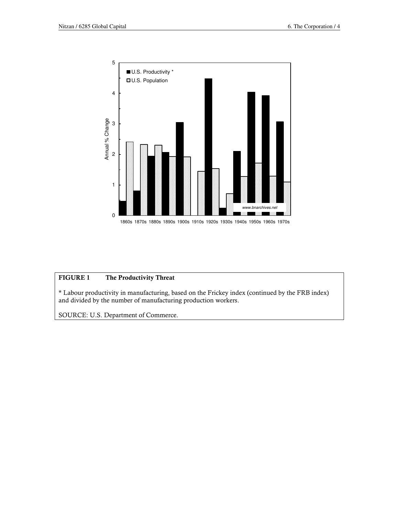

## FIGURE 1 The Productivity Threat

\* Labour productivity in manufacturing, based on the Frickey index (continued by the FRB index) and divided by the number of manufacturing production workers.

SOURCE: U.S. Department of Commerce.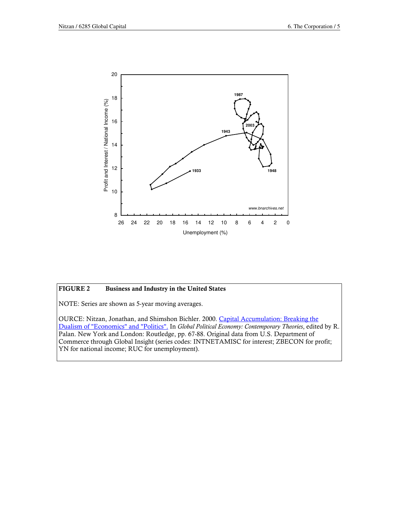

## FIGURE 2 Business and Industry in the United States

NOTE: Series are shown as 5-year moving averages.

OURCE: Nitzan, Jonathan, and Shimshon Bichler. 2000. Capital Accumulation: Breaking the Dualism of "Economics" and "Politics". In Global Political Economy: Contemporary Theories, edited by R. Palan. New York and London: Routledge, pp. 67-88. Original data from U.S. Department of Commerce through Global Insight (series codes: INTNETAMISC for interest; ZBECON for profit; YN for national income; RUC for unemployment).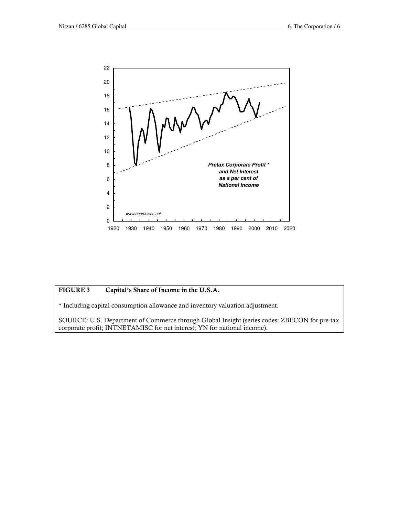

## FIGURE 3 Capital's Share of Income in the U.S.A.

\* Including capital consumption allowance and inventory valuation adjustment.

SOURCE: U.S. Department of Commerce through Global Insight (series codes: ZBECON for pre-tax corporate profit; INTNETAMISC for net interest; YN for national income).